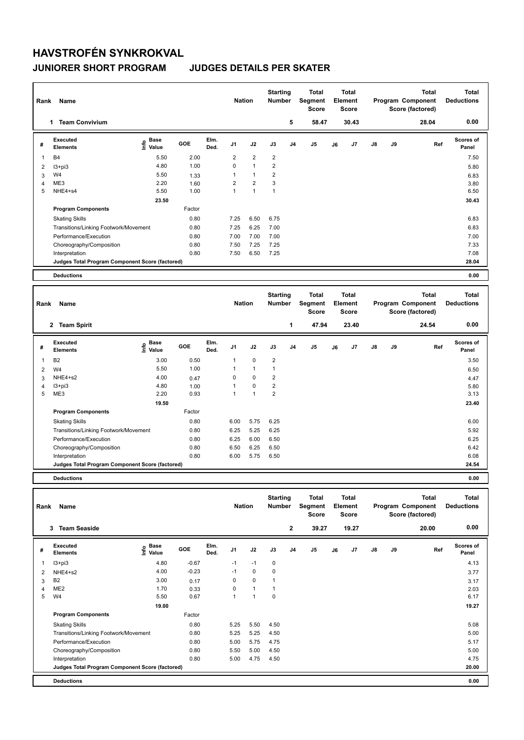# **HAVSTROFÉN SYNKROKVAL**

### **JUNIORER SHORT PROGRAM JUDGES DETAILS PER SKATER**

| Rank                    | Name                                            |                                           |        |              | <b>Nation</b>  |                         | <b>Starting</b><br>Number |                | <b>Total</b><br>Segment<br><b>Score</b> | <b>Total</b><br>Element<br><b>Score</b> |    |    |    | <b>Total</b><br>Program Component<br>Score (factored) | <b>Total</b><br><b>Deductions</b> |
|-------------------------|-------------------------------------------------|-------------------------------------------|--------|--------------|----------------|-------------------------|---------------------------|----------------|-----------------------------------------|-----------------------------------------|----|----|----|-------------------------------------------------------|-----------------------------------|
|                         | 1 Team Convivium                                |                                           |        |              |                |                         |                           | 5              | 58.47                                   | 30.43                                   |    |    |    | 28.04                                                 | 0.00                              |
| #                       | <b>Executed</b><br><b>Elements</b>              | e Base<br>⊆ Value                         | GOE    | Elm.<br>Ded. | J1             | J2                      | J3                        | J4             | J <sub>5</sub>                          | J6                                      | J7 | J8 | J9 | Ref                                                   | <b>Scores of</b><br>Panel         |
| $\mathbf{1}$            | <b>B4</b>                                       | 5.50                                      | 2.00   |              | $\overline{2}$ | $\overline{\mathbf{c}}$ | $\overline{2}$            |                |                                         |                                         |    |    |    |                                                       | 7.50                              |
| $\overline{2}$          | $13 + pi3$                                      | 4.80                                      | 1.00   |              | $\mathsf 0$    | $\mathbf{1}$            | $\overline{2}$            |                |                                         |                                         |    |    |    |                                                       | 5.80                              |
| 3                       | W4                                              | 5.50                                      | 1.33   |              | $\mathbf{1}$   | $\mathbf{1}$            | $\overline{2}$            |                |                                         |                                         |    |    |    |                                                       | 6.83                              |
| 4                       | ME3                                             | 2.20                                      | 1.60   |              | $\overline{2}$ | $\overline{2}$          | 3                         |                |                                         |                                         |    |    |    |                                                       | 3.80                              |
| 5                       | NHE4+s4                                         | 5.50                                      | 1.00   |              | $\mathbf{1}$   | $\mathbf{1}$            | $\mathbf{1}$              |                |                                         |                                         |    |    |    |                                                       | 6.50                              |
|                         |                                                 | 23.50                                     |        |              |                |                         |                           |                |                                         |                                         |    |    |    |                                                       | 30.43                             |
|                         | <b>Program Components</b>                       |                                           | Factor |              |                |                         |                           |                |                                         |                                         |    |    |    |                                                       |                                   |
|                         | <b>Skating Skills</b>                           |                                           | 0.80   |              | 7.25           | 6.50                    | 6.75                      |                |                                         |                                         |    |    |    |                                                       | 6.83                              |
|                         | Transitions/Linking Footwork/Movement           |                                           | 0.80   |              | 7.25           | 6.25                    | 7.00                      |                |                                         |                                         |    |    |    |                                                       | 6.83                              |
|                         | Performance/Execution                           |                                           | 0.80   |              | 7.00           | 7.00                    | 7.00                      |                |                                         |                                         |    |    |    |                                                       | 7.00                              |
|                         | Choreography/Composition                        |                                           | 0.80   |              | 7.50           | 7.25                    | 7.25                      |                |                                         |                                         |    |    |    |                                                       | 7.33                              |
|                         | Interpretation                                  |                                           | 0.80   |              | 7.50           | 6.50                    | 7.25                      |                |                                         |                                         |    |    |    |                                                       | 7.08                              |
|                         | Judges Total Program Component Score (factored) |                                           |        |              |                |                         |                           |                |                                         |                                         |    |    |    |                                                       | 28.04                             |
|                         | <b>Deductions</b>                               |                                           |        |              |                |                         |                           |                |                                         |                                         |    |    |    |                                                       | 0.00                              |
|                         |                                                 |                                           |        |              |                |                         |                           |                |                                         |                                         |    |    |    |                                                       |                                   |
| Rank                    | Name                                            |                                           |        |              | <b>Nation</b>  |                         | <b>Starting</b><br>Number |                | <b>Total</b><br>Segment<br><b>Score</b> | <b>Total</b><br>Element<br>Score        |    |    |    | <b>Total</b><br>Program Component<br>Score (factored) | <b>Total</b><br><b>Deductions</b> |
|                         | 2 Team Spirit                                   |                                           |        |              |                |                         |                           | $\mathbf{1}$   | 47.94                                   | 23.40                                   |    |    |    | 24.54                                                 | 0.00                              |
| #                       | <b>Executed</b><br><b>Elements</b>              | $\frac{e}{E}$ Base<br>$\frac{e}{E}$ Value | GOE    | Elm.<br>Ded. | J1             | J2                      | J3                        | J <sub>4</sub> | J <sub>5</sub>                          | J6                                      | J7 | J8 | J9 | Ref                                                   | Scores of<br>Panel                |
| 1                       | B <sub>2</sub>                                  | 3.00                                      | 0.50   |              | 1              | 0                       | $\overline{2}$            |                |                                         |                                         |    |    |    |                                                       | 3.50                              |
| $\overline{2}$          | W4                                              | 5.50                                      | 1.00   |              | 1              | $\mathbf{1}$            | $\overline{1}$            |                |                                         |                                         |    |    |    |                                                       | 6.50                              |
| 3                       | NHE4+s2                                         | 4.00                                      | 0.47   |              | $\mathbf 0$    | $\mathbf 0$             | $\overline{\mathbf{c}}$   |                |                                         |                                         |    |    |    |                                                       | 4.47                              |
| $\overline{\mathbf{4}}$ | $13 + pi3$                                      | 4.80                                      | 1.00   |              | $\mathbf{1}$   | 0                       | $\overline{\mathbf{c}}$   |                |                                         |                                         |    |    |    |                                                       | 5.80                              |
| 5                       | ME3                                             | 2.20                                      | 0.93   |              | $\mathbf{1}$   | $\mathbf{1}$            | $\overline{\mathbf{c}}$   |                |                                         |                                         |    |    |    |                                                       | 3.13                              |
|                         |                                                 | 19.50                                     |        |              |                |                         |                           |                |                                         |                                         |    |    |    |                                                       | 23.40                             |
|                         | <b>Program Components</b>                       |                                           | Factor |              |                |                         |                           |                |                                         |                                         |    |    |    |                                                       |                                   |
|                         | <b>Skating Skills</b>                           |                                           | 0.80   |              | 6.00           | 5.75                    | 6.25                      |                |                                         |                                         |    |    |    |                                                       | 6.00                              |
|                         | Transitions/Linking Footwork/Movement           |                                           | 0.80   |              | 6.25           | 5.25                    | 6.25                      |                |                                         |                                         |    |    |    |                                                       | 5.92                              |
|                         | Performance/Execution                           |                                           | 0.80   |              | 6.25           | 6.00                    | 6.50                      |                |                                         |                                         |    |    |    |                                                       | 6.25                              |
|                         | Choreography/Composition                        |                                           | 0.80   |              | 6.50           | 6.25                    | 6.50                      |                |                                         |                                         |    |    |    |                                                       | 6.42                              |
|                         | Interpretation                                  |                                           | 0.80   |              | 6.00           | 5.75                    | 6.50                      |                |                                         |                                         |    |    |    |                                                       | 6.08                              |
|                         | Judges Total Program Component Score (factored) |                                           |        |              |                |                         |                           |                |                                         |                                         |    |    |    |                                                       | 24.54                             |
|                         | <b>Deductions</b>                               |                                           |        |              |                |                         |                           |                |                                         |                                         |    |    |    |                                                       | 0.00                              |
|                         |                                                 |                                           |        |              |                |                         |                           |                |                                         |                                         |    |    |    |                                                       |                                   |
| Rank                    | Name                                            |                                           |        |              | <b>Nation</b>  |                         | <b>Starting</b><br>Number |                | <b>Total</b><br>Segment<br><b>Score</b> | <b>Total</b><br>Element<br><b>Score</b> |    |    |    | <b>Total</b><br>Program Component<br>Score (factored) | <b>Total</b><br><b>Deductions</b> |
|                         | <b>Team Seaside</b><br>3                        |                                           |        |              |                |                         |                           | $\mathbf{2}$   | 39.27                                   | 19.27                                   |    |    |    | 20.00                                                 | 0.00                              |

| #              | Executed<br><b>Elements</b>                     | Base<br>۴ů<br>Value | GOE     | Elm.<br>Ded. | J <sub>1</sub> | J2   | J3          | J <sub>4</sub> | J <sub>5</sub> | J6 | J <sub>7</sub> | $\mathsf{J}8$ | J9 | Ref | <b>Scores of</b><br>Panel |
|----------------|-------------------------------------------------|---------------------|---------|--------------|----------------|------|-------------|----------------|----------------|----|----------------|---------------|----|-----|---------------------------|
| $\mathbf{1}$   | $13 + pi3$                                      | 4.80                | $-0.67$ |              | $-1$           | $-1$ | $\mathbf 0$ |                |                |    |                |               |    |     | 4.13                      |
| 2              | NHE4+s2                                         | 4.00                | $-0.23$ |              | $-1$           | 0    | 0           |                |                |    |                |               |    |     | 3.77                      |
| 3              | B <sub>2</sub>                                  | 3.00                | 0.17    |              | 0              | 0    |             |                |                |    |                |               |    |     | 3.17                      |
| $\overline{4}$ | ME <sub>2</sub>                                 | 1.70                | 0.33    |              | 0              |      |             |                |                |    |                |               |    |     | 2.03                      |
| 5              | W4                                              | 5.50                | 0.67    |              | 4              |      | 0           |                |                |    |                |               |    |     | 6.17                      |
|                |                                                 | 19.00               |         |              |                |      |             |                |                |    |                |               |    |     | 19.27                     |
|                | <b>Program Components</b>                       |                     | Factor  |              |                |      |             |                |                |    |                |               |    |     |                           |
|                | <b>Skating Skills</b>                           |                     | 0.80    |              | 5.25           | 5.50 | 4.50        |                |                |    |                |               |    |     | 5.08                      |
|                | Transitions/Linking Footwork/Movement           |                     | 0.80    |              | 5.25           | 5.25 | 4.50        |                |                |    |                |               |    |     | 5.00                      |
|                | Performance/Execution                           |                     | 0.80    |              | 5.00           | 5.75 | 4.75        |                |                |    |                |               |    |     | 5.17                      |
|                | Choreography/Composition                        |                     | 0.80    |              | 5.50           | 5.00 | 4.50        |                |                |    |                |               |    |     | 5.00                      |
|                | Interpretation                                  |                     | 0.80    |              | 5.00           | 4.75 | 4.50        |                |                |    |                |               |    |     | 4.75                      |
|                | Judges Total Program Component Score (factored) |                     |         |              |                |      |             |                |                |    |                |               |    |     | 20.00                     |
|                | <b>Deductions</b>                               |                     |         |              |                |      |             |                |                |    |                |               |    |     | 0.00                      |